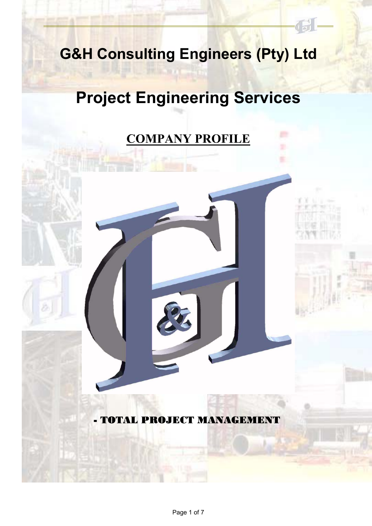## **G&H Consulting Engineers (Pty) Ltd**

# **Project Engineering Services**

## **COMPANY PROFILE**

### - TOTAL PROJECT MANAGEMENT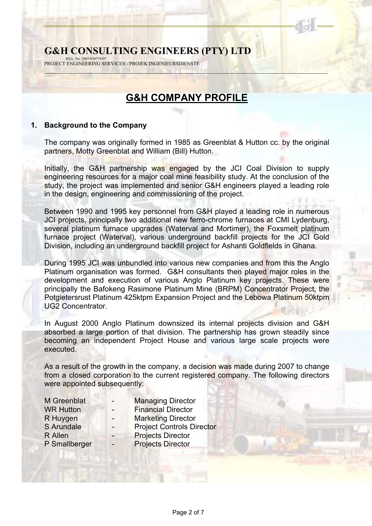#### **G&H CONSULTING ENGINEERS (PTY) LTD** REG. No. 2007/030778/07

PROJECT ENGINEERING SERVICES - PROJEK INGENIEURSDIENSTE

### **G&H COMPANY PROFILE**

 $\sim$  . The second contribution of the second contribution of the second contribution of the second contribution of the second contribution of the second contribution of the second contribution of the second contribution o

#### **1. Background to the Company**

The company was originally formed in 1985 as Greenblat & Hutton cc. by the original partners, Motty Greenblat and William (Bill) Hutton.

Initially, the G&H partnership was engaged by the JCI Coal Division to supply engineering resources for a major coal mine feasibility study. At the conclusion of the study, the project was implemented and senior G&H engineers played a leading role in the design, engineering and commissioning of the project.

Between 1990 and 1995 key personnel from G&H played a leading role in numerous JCI projects, principally two additional new ferro-chrome furnaces at CMI Lydenburg, several platinum furnace upgrades (Waterval and Mortimer), the Foxsmelt platinum furnace project (Waterval), various underground backfill projects for the JCI Gold Division, including an underground backfill project for Ashanti Goldfields in Ghana.

During 1995 JCI was unbundled into various new companies and from this the Anglo Platinum organisation was formed. G&H consultants then played major roles in the development and execution of various Anglo Platinum key projects. These were principally the Bafokeng Rasimone Platinum Mine (BRPM) Concentrator Project, the Potgietersrust Platinum 425ktpm Expansion Project and the Lebowa Platinum 50ktpm UG2 Concentrator.

In August 2000 Anglo Platinum downsized its internal projects division and G&H absorbed a large portion of that division. The partnership has grown steadily since becoming an independent Project House and various large scale projects were executed.

As a result of the growth in the company, a decision was made during 2007 to change from a closed corporation to the current registered company. The following directors were appointed subsequently:

- 
- M Greenblat Managing Director
- 
- WR Hutton  **Financial Director**
- 
- R Huygen **-** Marketing Director
- 
- 
- S Arundale  **Project Controls Director**
- R Allen Projects Director
	-
- 
- P Smallberger Projects Director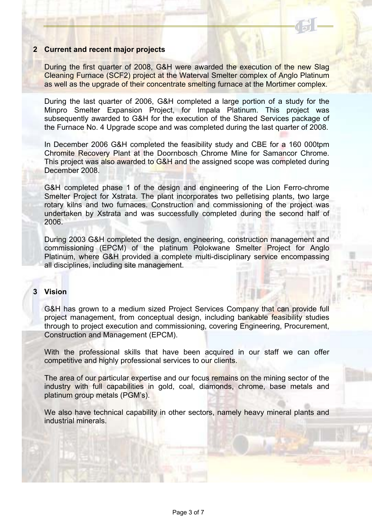#### **2 Current and recent major projects**

During the first quarter of 2008, G&H were awarded the execution of the new Slag Cleaning Furnace (SCF2) project at the Waterval Smelter complex of Anglo Platinum as well as the upgrade of their concentrate smelting furnace at the Mortimer complex.

During the last quarter of 2006, G&H completed a large portion of a study for the Minpro Smelter Expansion Project, for Impala Platinum. This project was subsequently awarded to G&H for the execution of the Shared Services package of the Furnace No. 4 Upgrade scope and was completed during the last quarter of 2008.

In December 2006 G&H completed the feasibility study and CBE for a 160 000tpm Chromite Recovery Plant at the Doornbosch Chrome Mine for Samancor Chrome. This project was also awarded to G&H and the assigned scope was completed during December 2008.

G&H completed phase 1 of the design and engineering of the Lion Ferro-chrome Smelter Project for Xstrata. The plant incorporates two pelletising plants, two large rotary kilns and two furnaces. Construction and commissioning of the project was undertaken by Xstrata and was successfully completed during the second half of 2006.

During 2003 G&H completed the design, engineering, construction management and commissioning (EPCM) of the platinum Polokwane Smelter Project for Anglo Platinum, where G&H provided a complete multi-disciplinary service encompassing all disciplines, including site management.

#### **3 Vision**

G&H has grown to a medium sized Project Services Company that can provide full project management, from conceptual design, including bankable feasibility studies through to project execution and commissioning, covering Engineering, Procurement, Construction and Management (EPCM).

With the professional skills that have been acquired in our staff we can offer competitive and highly professional services to our clients.

The area of our particular expertise and our focus remains on the mining sector of the industry with full capabilities in gold, coal, diamonds, chrome, base metals and platinum group metals (PGM's).

We also have technical capability in other sectors, namely heavy mineral plants and industrial minerals.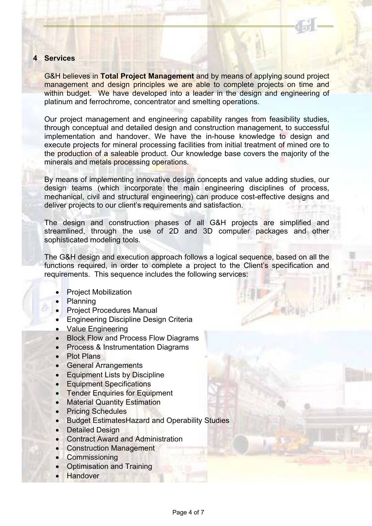#### **4 Services**

G&H believes in **Total Project Management** and by means of applying sound project management and design principles we are able to complete projects on time and within budget. We have developed into a leader in the design and engineering of platinum and ferrochrome, concentrator and smelting operations.

Our project management and engineering capability ranges from feasibility studies, through conceptual and detailed design and construction management, to successful implementation and handover. We have the in-house knowledge to design and execute projects for mineral processing facilities from initial treatment of mined ore to the production of a saleable product. Our knowledge base covers the majority of the minerals and metals processing operations.

By means of implementing innovative design concepts and value adding studies, our design teams (which incorporate the main engineering disciplines of process, mechanical, civil and structural engineering) can produce cost-effective designs and deliver projects to our client's requirements and satisfaction.

The design and construction phases of all G&H projects are simplified and streamlined, through the use of 2D and 3D computer packages and other sophisticated modeling tools.

The G&H design and execution approach follows a logical sequence, based on all the functions required, in order to complete a project to the Client's specification and requirements. This sequence includes the following services:

- Project Mobilization
- Planning
- Project Procedures Manual
- Engineering Discipline Design Criteria
- Value Engineering
- Block Flow and Process Flow Diagrams
- Process & Instrumentation Diagrams
- Plot Plans
- General Arrangements
- Equipment Lists by Discipline
- Equipment Specifications
- Tender Enquiries for Equipment
- Material Quantity Estimation
- Pricing Schedules
- Budget EstimatesHazard and Operability Studies
- Detailed Design
- Contract Award and Administration
- **Construction Management**
- **Commissioning**
- Optimisation and Training
- **Handover**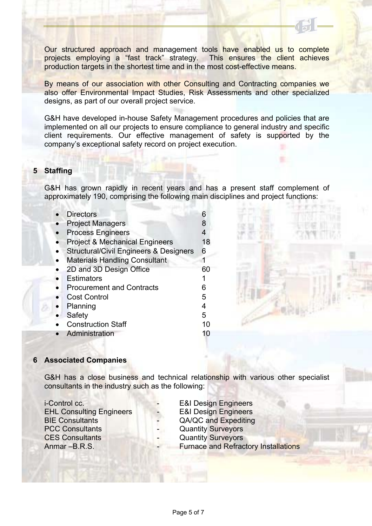Our structured approach and management tools have enabled us to complete projects employing a "fast track" strategy. This ensures the client achieves production targets in the shortest time and in the most cost-effective means.

By means of our association with other Consulting and Contracting companies we also offer Environmental Impact Studies, Risk Assessments and other specialized designs, as part of our overall project service.

G&H have developed in-house Safety Management procedures and policies that are implemented on all our projects to ensure compliance to general industry and specific client requirements. Our effective management of safety is supported by the company's exceptional safety record on project execution.

#### **5 Staffing**

G&H has grown rapidly in recent years and has a present staff complement of approximately 190, comprising the following main disciplines and project functions:

| <b>Directors</b>                                  | 6  |
|---------------------------------------------------|----|
| <b>Project Managers</b>                           | 8  |
| <b>Process Engineers</b>                          | 4  |
| <b>Project &amp; Mechanical Engineers</b>         | 18 |
| <b>Structural/Civil Engineers &amp; Designers</b> | 6  |
| <b>Materials Handling Consultant</b>              |    |
| 2D and 3D Design Office                           | 60 |
| <b>Estimators</b>                                 |    |
| <b>Procurement and Contracts</b>                  | 6  |
| <b>Cost Control</b>                               | 5  |
| Planning                                          | 4  |
| Safety                                            | 5  |
| <b>Construction Staff</b>                         | 10 |
| Administration                                    | 10 |

#### **6 Associated Companies**

G&H has a close business and technical relationship with various other specialist consultants in the industry such as the following:

i-Control cc. **- E&I Design Engineers** EHL Consulting Engineers **CEM** - E&I Design Engineers BIE Consultants **Expedition CA/QC** and Expediting PCC Consultants **CONSULTANT CONSULTANT CONSULTANT CONSULTANT CONSULTANT CONSULTANT CONSULTANT CONSULTANT CONSULTANT CONSULTANT CONSULTANT CONSULTANT CONSULTANT CONSULTANT CONSULTANT CONSULTANT CONSULTANT CONSULTANT CONSULT CES Consultants CES** Consultants **CES** Consultants

Anmar –B.R.S. **Example 20 Furnace and Refractory Installations**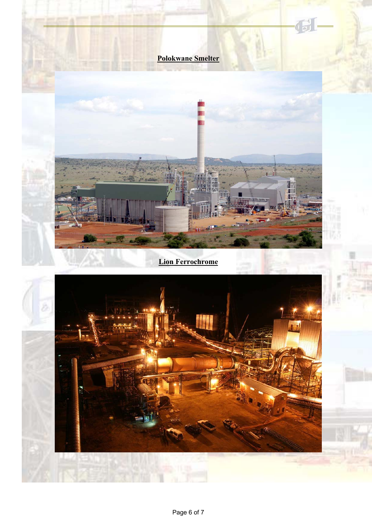